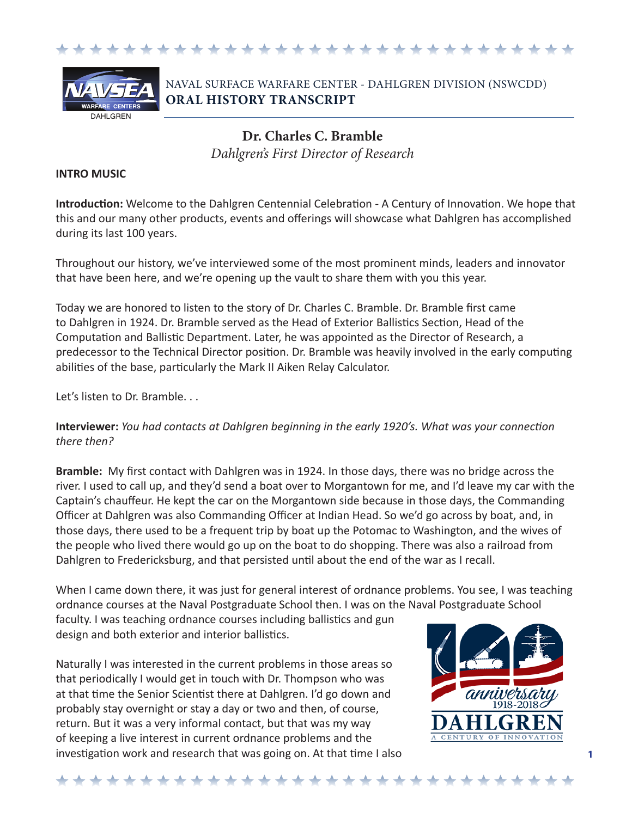



## NAVAL SURFACE WARFARE CENTER - DAHLGREN DIVISION (NSWCDD) **ORAL HISTORY TRANSCRIPT**

**Dr. Charles C. Bramble** *Dahlgren's First Director of Research*

### **INTRO MUSIC**

**Introduction:** Welcome to the Dahlgren Centennial Celebration - A Century of Innovation. We hope that this and our many other products, events and offerings will showcase what Dahlgren has accomplished during its last 100 years.

Throughout our history, we've interviewed some of the most prominent minds, leaders and innovator that have been here, and we're opening up the vault to share them with you this year.

Today we are honored to listen to the story of Dr. Charles C. Bramble. Dr. Bramble first came to Dahlgren in 1924. Dr. Bramble served as the Head of Exterior Ballistics Section, Head of the Computation and Ballistic Department. Later, he was appointed as the Director of Research, a predecessor to the Technical Director position. Dr. Bramble was heavily involved in the early computing abilities of the base, particularly the Mark II Aiken Relay Calculator.

Let's listen to Dr. Bramble. . .

**Interviewer:** *You had contacts at Dahlgren beginning in the early 1920's. What was your connection there then?*

**Bramble:** My first contact with Dahlgren was in 1924. In those days, there was no bridge across the river. I used to call up, and they'd send a boat over to Morgantown for me, and I'd leave my car with the Captain's chauffeur. He kept the car on the Morgantown side because in those days, the Commanding Officer at Dahlgren was also Commanding Officer at Indian Head. So we'd go across by boat, and, in those days, there used to be a frequent trip by boat up the Potomac to Washington, and the wives of the people who lived there would go up on the boat to do shopping. There was also a railroad from Dahlgren to Fredericksburg, and that persisted until about the end of the war as I recall.

When I came down there, it was just for general interest of ordnance problems. You see, I was teaching ordnance courses at the Naval Postgraduate School then. I was on the Naval Postgraduate School

faculty. I was teaching ordnance courses including ballistics and gun design and both exterior and interior ballistics.

Naturally I was interested in the current problems in those areas so that periodically I would get in touch with Dr. Thompson who was at that time the Senior Scientist there at Dahlgren. I'd go down and probably stay overnight or stay a day or two and then, of course, return. But it was a very informal contact, but that was my way of keeping a live interest in current ordnance problems and the investigation work and research that was going on. At that time I also

\*\*\*\*\*\*\*\*\*\*\*\*\*\*\*\*\*\*\*\*\*\*

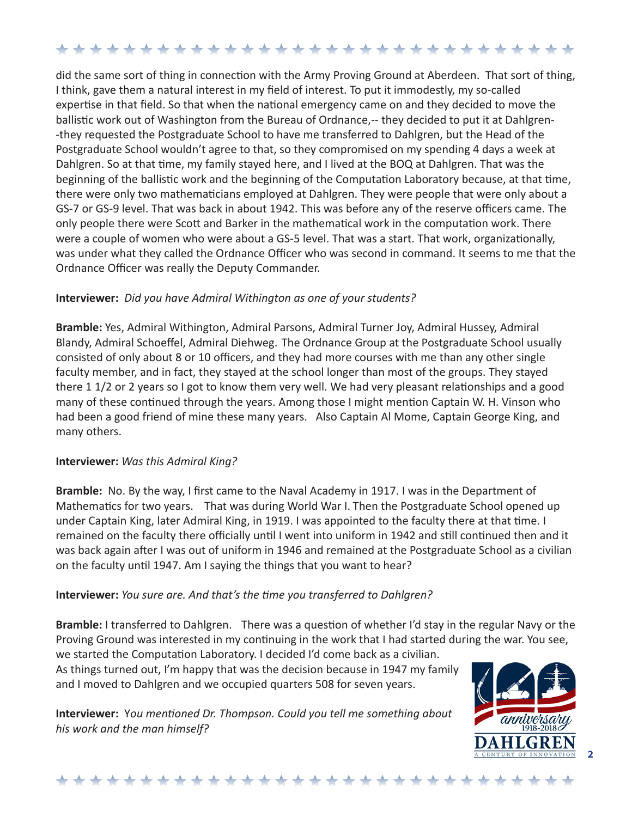did the same sort of thing in connection with the Army Proving Ground at Aberdeen. That sort of thing, I think, gave them a natural interest in my field of interest. To put it immodestly, my so-called expertise in that field. So that when the national emergency came on and they decided to move the ballistic work out of Washington from the Bureau of Ordnance,-- they decided to put it at Dahlgren- -they requested the Postgraduate School to have me transferred to Dahlgren, but the Head of the Postgraduate School wouldn't agree to that, so they compromised on my spending 4 days a week at Dahlgren. So at that time, my family stayed here, and I lived at the BOQ at Dahlgren. That was the beginning of the ballistic work and the beginning of the Computation Laboratory because, at that time, there were only two mathematicians employed at Dahlgren. They were people that were only about a GS-7 or GS-9 level. That was back in about 1942. This was before any of the reserve officers came. The only people there were Scott and Barker in the mathematical work in the computation work. There were a couple of women who were about a GS-5 level. That was a start. That work, organizationally, was under what they called the Ordnance Officer who was second in command. It seems to me that the Ordnance Officer was really the Deputy Commander.

## **Interviewer:** *Did you have Admiral Withington as one of your students?*

**Bramble:** Yes, Admiral Withington, Admiral Parsons, Admiral Turner Joy, Admiral Hussey, Admiral Blandy, Admiral Schoeffel, Admiral Diehweg. The Ordnance Group at the Postgraduate School usually consisted of only about 8 or 10 officers, and they had more courses with me than any other single faculty member, and in fact, they stayed at the school longer than most of the groups. They stayed there 1 1/2 or 2 years so I got to know them very well. We had very pleasant relationships and a good many of these continued through the years. Among those I might mention Captain W. H. Vinson who had been a good friend of mine these many years. Also Captain Al Mome, Captain George King, and many others.

## **Interviewer:** *Was this Admiral King?*

**Bramble:** No. By the way, I first came to the Naval Academy in 1917. I was in the Department of Mathematics for two years. That was during World War I. Then the Postgraduate School opened up under Captain King, later Admiral King, in 1919. I was appointed to the faculty there at that time. I remained on the faculty there officially until I went into uniform in 1942 and still continued then and it was back again after I was out of uniform in 1946 and remained at the Postgraduate School as a civilian on the faculty until 1947. Am I saying the things that you want to hear?

## **Interviewer:** *You sure are. And that's the time you transferred to Dahlgren?*

**Bramble:** I transferred to Dahlgren. There was a question of whether I'd stay in the regular Navy or the Proving Ground was interested in my continuing in the work that I had started during the war. You see,

we started the Computation Laboratory. I decided I'd come back as a civilian. As things turned out, I'm happy that was the decision because in 1947 my family and I moved to Dahlgren and we occupied quarters 508 for seven years.

**Interviewer:** Y*ou mentioned Dr. Thompson. Could you tell me something about his work and the man himself?*



### \*\*\*\*\*\*\*\*\*\*\*\*\*\*\*\*\*\*\*\*\*\*\*\*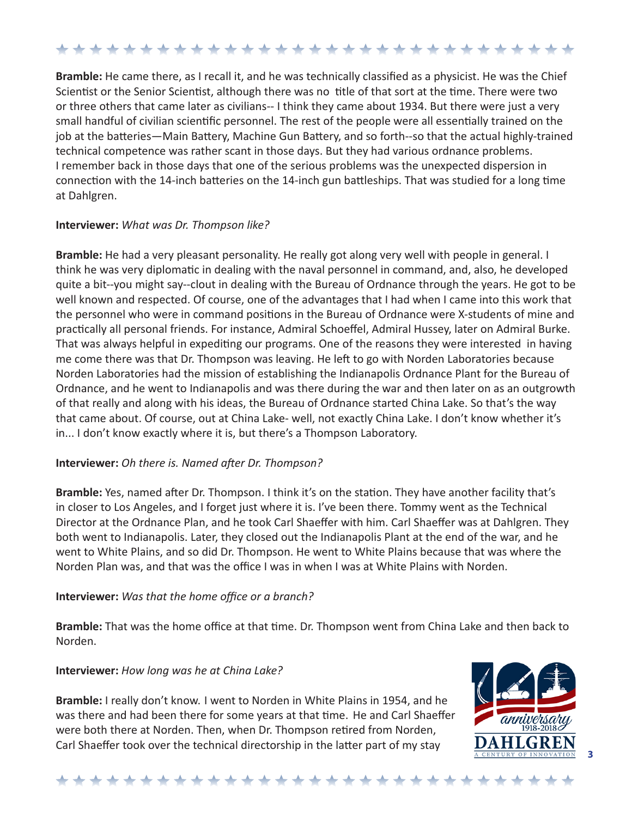**Bramble:** He came there, as I recall it, and he was technically classified as a physicist. He was the Chief Scientist or the Senior Scientist, although there was no title of that sort at the time. There were two or three others that came later as civilians-- I think they came about 1934. But there were just a very small handful of civilian scientific personnel. The rest of the people were all essentially trained on the job at the batteries—Main Battery, Machine Gun Battery, and so forth--so that the actual highly-trained technical competence was rather scant in those days. But they had various ordnance problems. I remember back in those days that one of the serious problems was the unexpected dispersion in connection with the 14-inch batteries on the 14-inch gun battleships. That was studied for a long time at Dahlgren.

### **Interviewer:** *What was Dr. Thompson like?*

**Bramble:** He had a very pleasant personality. He really got along very well with people in general. I think he was very diplomatic in dealing with the naval personnel in command, and, also, he developed quite a bit--you might say--clout in dealing with the Bureau of Ordnance through the years. He got to be well known and respected. Of course, one of the advantages that I had when I came into this work that the personnel who were in command positions in the Bureau of Ordnance were X-students of mine and practically all personal friends. For instance, Admiral Schoeffel, Admiral Hussey, later on Admiral Burke. That was always helpful in expediting our programs. One of the reasons they were interested in having me come there was that Dr. Thompson was leaving. He left to go with Norden Laboratories because Norden Laboratories had the mission of establishing the Indianapolis Ordnance Plant for the Bureau of Ordnance, and he went to Indianapolis and was there during the war and then later on as an outgrowth of that really and along with his ideas, the Bureau of Ordnance started China Lake. So that's the way that came about. Of course, out at China Lake- well, not exactly China Lake. I don't know whether it's in... I don't know exactly where it is, but there's a Thompson Laboratory.

## **Interviewer:** *Oh there is. Named after Dr. Thompson?*

**Bramble:** Yes, named after Dr. Thompson. I think it's on the station. They have another facility that's in closer to Los Angeles, and I forget just where it is. I've been there. Tommy went as the Technical Director at the Ordnance Plan, and he took Carl Shaeffer with him. Carl Shaeffer was at Dahlgren. They both went to Indianapolis. Later, they closed out the Indianapolis Plant at the end of the war, and he went to White Plains, and so did Dr. Thompson. He went to White Plains because that was where the Norden Plan was, and that was the office I was in when I was at White Plains with Norden.

## **Interviewer:** *Was that the home office or a branch?*

**Bramble:** That was the home office at that time. Dr. Thompson went from China Lake and then back to Norden.

### **Interviewer:** *How long was he at China Lake?*

**Bramble:** I really don't know. I went to Norden in White Plains in 1954, and he was there and had been there for some years at that time. He and Carl Shaeffer were both there at Norden. Then, when Dr. Thompson retired from Norden, Carl Shaeffer took over the technical directorship in the latter part of my stay



## \*\*\*\*\*\*\*\*\*\*\*\*\*\*\*\*\*\*\*\*\*\*\*\*\*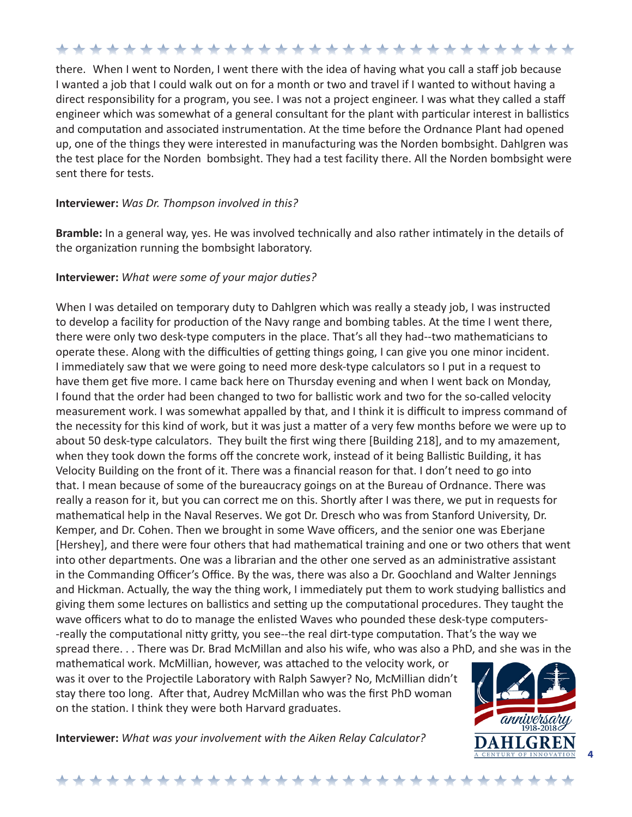there. When I went to Norden, I went there with the idea of having what you call a staff job because I wanted a job that I could walk out on for a month or two and travel if I wanted to without having a direct responsibility for a program, you see. I was not a project engineer. I was what they called a staff engineer which was somewhat of a general consultant for the plant with particular interest in ballistics and computation and associated instrumentation. At the time before the Ordnance Plant had opened up, one of the things they were interested in manufacturing was the Norden bombsight. Dahlgren was the test place for the Norden bombsight. They had a test facility there. All the Norden bombsight were sent there for tests.

#### **Interviewer:** *Was Dr. Thompson involved in this?*

**Bramble:** In a general way, yes. He was involved technically and also rather intimately in the details of the organization running the bombsight laboratory.

### **Interviewer:** *What were some of your major duties?*

When I was detailed on temporary duty to Dahlgren which was really a steady job, I was instructed to develop a facility for production of the Navy range and bombing tables. At the time I went there, there were only two desk-type computers in the place. That's all they had--two mathematicians to operate these. Along with the difficulties of getting things going, I can give you one minor incident. I immediately saw that we were going to need more desk-type calculators so I put in a request to have them get five more. I came back here on Thursday evening and when I went back on Monday, I found that the order had been changed to two for ballistic work and two for the so-called velocity measurement work. I was somewhat appalled by that, and I think it is difficult to impress command of the necessity for this kind of work, but it was just a matter of a very few months before we were up to about 50 desk-type calculators. They built the first wing there [Building 218], and to my amazement, when they took down the forms off the concrete work, instead of it being Ballistic Building, it has Velocity Building on the front of it. There was a financial reason for that. I don't need to go into that. I mean because of some of the bureaucracy goings on at the Bureau of Ordnance. There was really a reason for it, but you can correct me on this. Shortly after I was there, we put in requests for mathematical help in the Naval Reserves. We got Dr. Dresch who was from Stanford University, Dr. Kemper, and Dr. Cohen. Then we brought in some Wave officers, and the senior one was Eberjane [Hershey], and there were four others that had mathematical training and one or two others that went into other departments. One was a librarian and the other one served as an administrative assistant in the Commanding Officer's Office. By the was, there was also a Dr. Goochland and Walter Jennings and Hickman. Actually, the way the thing work, I immediately put them to work studying ballistics and giving them some lectures on ballistics and setting up the computational procedures. They taught the wave officers what to do to manage the enlisted Waves who pounded these desk-type computers- -really the computational nitty gritty, you see--the real dirt-type computation. That's the way we spread there. . . There was Dr. Brad McMillan and also his wife, who was also a PhD, and she was in the

mathematical work. McMillian, however, was attached to the velocity work, or was it over to the Projectile Laboratory with Ralph Sawyer? No, McMillian didn't stay there too long. After that, Audrey McMillan who was the first PhD woman on the station. I think they were both Harvard graduates.

**Interviewer:** *What was your involvement with the Aiken Relay Calculator?*



**4** 

#### \*\*\*\*\*\*\*\*\*\*\*\*\*\*\*\*\*\*\*\*\*\*\*\*\*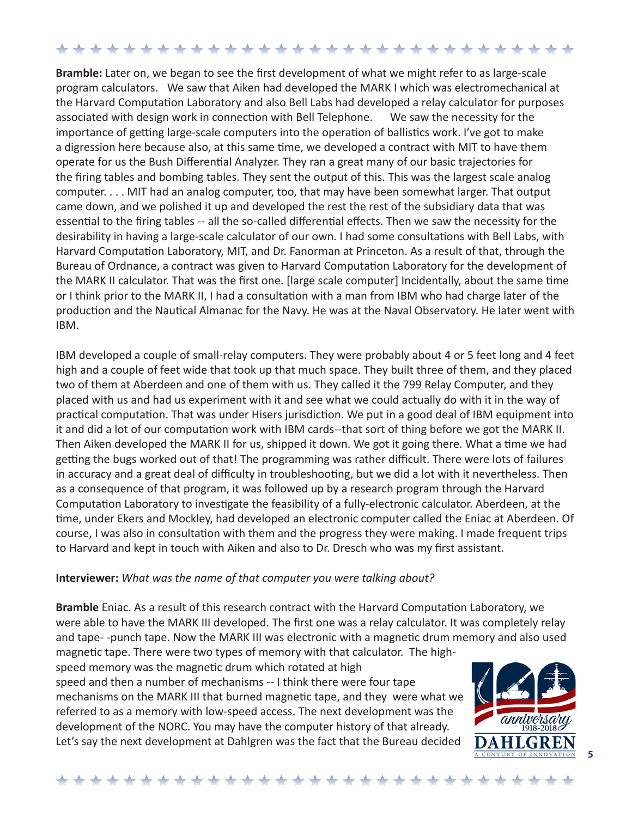**Bramble:** Later on, we began to see the first development of what we might refer to as large-scale program calculators. We saw that Aiken had developed the MARK I which was electromechanical at the Harvard Computation Laboratory and also Bell Labs had developed a relay calculator for purposes associated with design work in connection with Bell Telephone. We saw the necessity for the importance of getting large-scale computers into the operation of ballistics work. I've got to make a digression here because also, at this same time, we developed a contract with MIT to have them operate for us the Bush Differential Analyzer. They ran a great many of our basic trajectories for the firing tables and bombing tables. They sent the output of this. This was the largest scale analog computer. . . . MIT had an analog computer, too, that may have been somewhat larger. That output came down, and we polished it up and developed the rest the rest of the subsidiary data that was essential to the firing tables -- all the so-called differential effects. Then we saw the necessity for the desirability in having a large-scale calculator of our own. I had some consultations with Bell Labs, with Harvard Computation Laboratory, MIT, and Dr. Fanorman at Princeton. As a result of that, through the Bureau of Ordnance, a contract was given to Harvard Computation Laboratory for the development of the MARK II calculator. That was the first one. [large scale computer] Incidentally, about the same time or I think prior to the MARK II, I had a consultation with a man from IBM who had charge later of the production and the Nautical Almanac for the Navy. He was at the Naval Observatory. He later went with IBM.

IBM developed a couple of small-relay computers. They were probably about 4 or 5 feet long and 4 feet high and a couple of feet wide that took up that much space. They built three of them, and they placed two of them at Aberdeen and one of them with us. They called it the 799 Relay Computer, and they placed with us and had us experiment with it and see what we could actually do with it in the way of practical computation. That was under Hisers jurisdiction. We put in a good deal of IBM equipment into it and did a lot of our computation work with IBM cards--that sort of thing before we got the MARK II. Then Aiken developed the MARK II for us, shipped it down. We got it going there. What a time we had getting the bugs worked out of that! The programming was rather difficult. There were lots of failures in accuracy and a great deal of difficulty in troubleshooting, but we did a lot with it nevertheless. Then as a consequence of that program, it was followed up by a research program through the Harvard Computation Laboratory to investigate the feasibility of a fully-electronic calculator. Aberdeen, at the time, under Ekers and Mockley, had developed an electronic computer called the Eniac at Aberdeen. Of course, I was also in consultation with them and the progress they were making. I made frequent trips to Harvard and kept in touch with Aiken and also to Dr. Dresch who was my first assistant.

### **Interviewer:** *What was the name of that computer you were talking about?*

**Bramble** Eniac. As a result of this research contract with the Harvard Computation Laboratory, we were able to have the MARK III developed. The first one was a relay calculator. It was completely relay and tape- -punch tape. Now the MARK III was electronic with a magnetic drum memory and also used magnetic tape. There were two types of memory with that calculator. The high-

speed memory was the magnetic drum which rotated at high speed and then a number of mechanisms -- I think there were four tape mechanisms on the MARK III that burned magnetic tape, and they were what we referred to as a memory with low-speed access. The next development was the development of the NORC. You may have the computer history of that already. Let's say the next development at Dahlgren was the fact that the Bureau decided



**5**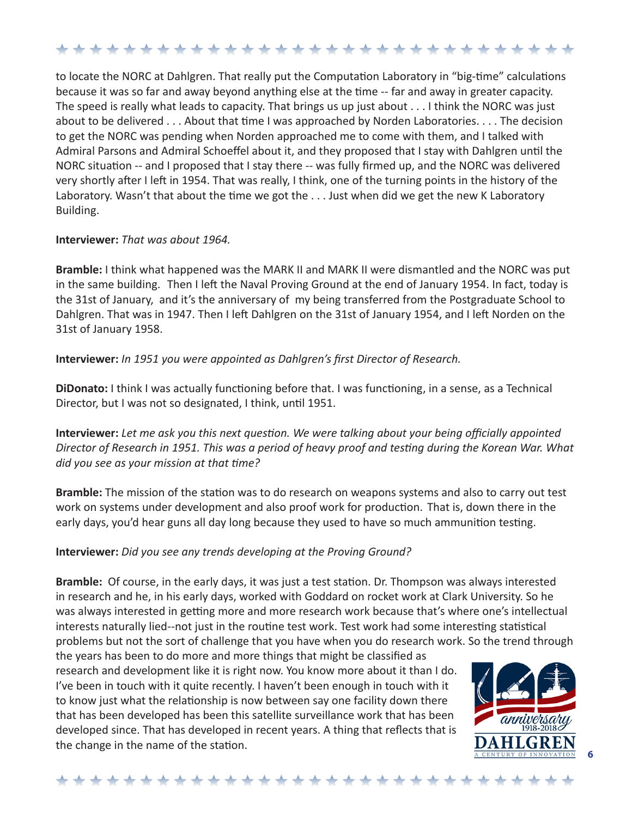to locate the NORC at Dahlgren. That really put the Computation Laboratory in "big-time" calculations because it was so far and away beyond anything else at the time -- far and away in greater capacity. The speed is really what leads to capacity. That brings us up just about . . . I think the NORC was just about to be delivered . . . About that time I was approached by Norden Laboratories. . . . The decision to get the NORC was pending when Norden approached me to come with them, and I talked with Admiral Parsons and Admiral Schoeffel about it, and they proposed that I stay with Dahlgren until the NORC situation -- and I proposed that I stay there -- was fully firmed up, and the NORC was delivered very shortly after I left in 1954. That was really, I think, one of the turning points in the history of the Laboratory. Wasn't that about the time we got the . . . Just when did we get the new K Laboratory Building.

### **Interviewer:** *That was about 1964.*

**Bramble:** I think what happened was the MARK II and MARK II were dismantled and the NORC was put in the same building. Then I left the Naval Proving Ground at the end of January 1954. In fact, today is the 31st of January, and it's the anniversary of my being transferred from the Postgraduate School to Dahlgren. That was in 1947. Then I left Dahlgren on the 31st of January 1954, and I left Norden on the 31st of January 1958.

## **Interviewer:** *In 1951 you were appointed as Dahlgren's first Director of Research.*

**DiDonato:** I think I was actually functioning before that. I was functioning, in a sense, as a Technical Director, but I was not so designated, I think, until 1951.

**Interviewer:** *Let me ask you this next question. We were talking about your being officially appointed Director of Research in 1951. This was a period of heavy proof and testing during the Korean War. What did you see as your mission at that time?*

**Bramble:** The mission of the station was to do research on weapons systems and also to carry out test work on systems under development and also proof work for production. That is, down there in the early days, you'd hear guns all day long because they used to have so much ammunition testing.

## **Interviewer:** *Did you see any trends developing at the Proving Ground?*

**Bramble:** Of course, in the early days, it was just a test station. Dr. Thompson was always interested in research and he, in his early days, worked with Goddard on rocket work at Clark University. So he was always interested in getting more and more research work because that's where one's intellectual interests naturally lied--not just in the routine test work. Test work had some interesting statistical problems but not the sort of challenge that you have when you do research work. So the trend through

the years has been to do more and more things that might be classified as research and development like it is right now. You know more about it than I do. I've been in touch with it quite recently. I haven't been enough in touch with it to know just what the relationship is now between say one facility down there that has been developed has been this satellite surveillance work that has been developed since. That has developed in recent years. A thing that reflects that is the change in the name of the station.



**6**